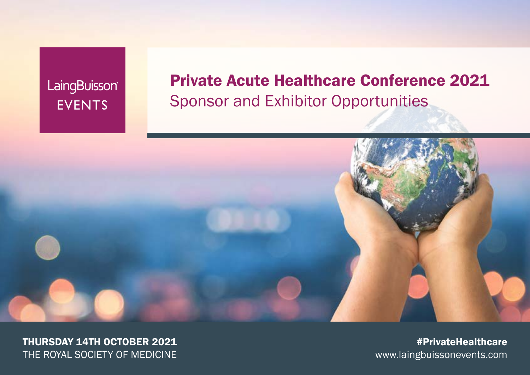LaingBuisson® **EVENTS** 

## Private Acute Healthcare Conference 2021 Sponsor and Exhibitor Opportunities



THURSDAY 14TH OCTOBER 2021 THE ROYAL SOCIETY OF MEDICINE

#PrivateHealthcare www.laingbuissonevents.com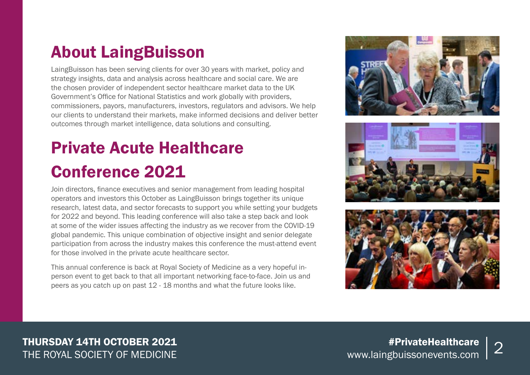## About LaingBuisson

LaingBuisson has been serving clients for over 30 years with market, policy and strategy insights, data and analysis across healthcare and social care. We are the chosen provider of independent sector healthcare market data to the UK Government's Office for National Statistics and work globally with providers, commissioners, payors, manufacturers, investors, regulators and advisors. We help our clients to understand their markets, make informed decisions and deliver better outcomes through market intelligence, data solutions and consulting.

# Private Acute Healthcare Conference 2021

Join directors, finance executives and senior management from leading hospital operators and investors this October as LaingBuisson brings together its unique research, latest data, and sector forecasts to support you while setting your budgets for 2022 and beyond. This leading conference will also take a step back and look at some of the wider issues affecting the industry as we recover from the COVID-19 global pandemic. This unique combination of objective insight and senior delegate participation from across the industry makes this conference the must-attend event for those involved in the private acute healthcare sector.

This annual conference is back at Royal Society of Medicine as a very hopeful inperson event to get back to that all important networking face-to-face. Join us and peers as you catch up on past 12 - 18 months and what the future looks like.





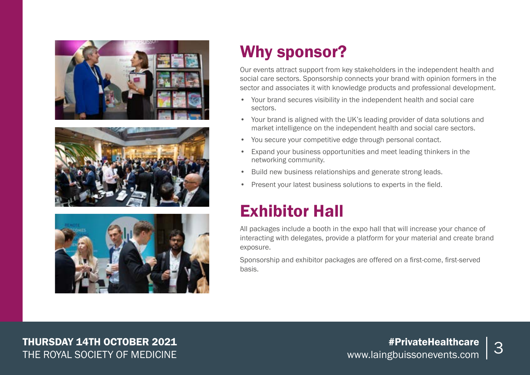





# Why sponsor?

Our events attract support from key stakeholders in the independent health and social care sectors. Sponsorship connects your brand with opinion formers in the sector and associates it with knowledge products and professional development.

- Your brand secures visibility in the independent health and social care sectors.
- Your brand is aligned with the UK's leading provider of data solutions and market intelligence on the independent health and social care sectors.
- You secure your competitive edge through personal contact.
- Expand your business opportunities and meet leading thinkers in the networking community.
- Build new business relationships and generate strong leads.
- Present your latest business solutions to experts in the field.

# Exhibitor Hall

All packages include a booth in the expo hall that will increase your chance of interacting with delegates, provide a platform for your material and create brand exposure.

Sponsorship and exhibitor packages are offered on a first-come, first-served basis.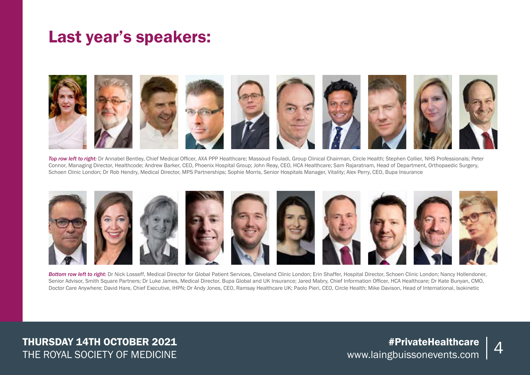## Last year's speakers:



*Top row left to right:* Dr Annabel Bentley, Chief Medical Officer, AXA PPP Healthcare; Massoud Fouladi, Group Clinical Chairman, Circle Health; Stephen Collier, NHS Professionals; Peter Connor, Managing Director, Healthcode; Andrew Barker, CEO, Phoenix Hospital Group; John Reay, CEO, HCA Healthcare; Sam Rajaratnam, Head of Department, Orthopaedic Surgery, Schoen Clinic London; Dr Rob Hendry, Medical Director, MPS Partnerships; Sophie Morris, Senior Hospitals Manager, Vitality; Alex Perry, CEO, Bupa Insurance



*Bottom row left to right:* Dr Nick Losseff, Medical Director for Global Patient Services, Cleveland Clinic London; Erin Shaffer, Hospital Director, Schoen Clinic London; Nancy Hollendoner, Senior Advisor, Smith Square Partners; Dr Luke James, Medical Director, Bupa Global and UK Insurance; Jared Mabry, Chief Information Officer, HCA Healthcare; Dr Kate Bunyan, CMO, Doctor Care Anywhere; David Hare, Chief Executive, IHPN; Dr Andy Jones, CEO, Ramsay Healthcare UK; Paolo Pieri, CEO, Circle Health; Mike Davison, Head of International, Isokinetic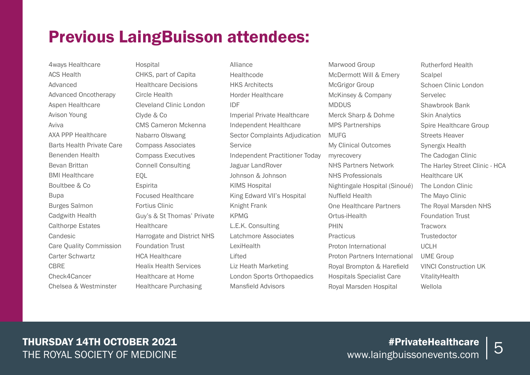## Previous LaingBuisson attendees:

4ways Healthcare ACS Health Advanced Advanced Oncotherapy Aspen Healthcare Avison Young Aviva AXA PPP Healthcare Barts Health Private Care Benenden Health Bevan Brittan BMI Healthcare Boultbee & Co Bupa Burges Salmon Cadgwith Health Calthorpe Estates Candesic Care Quality Commission Carter Schwartz **CRRF** Check4Cancer Chelsea & Westminster

Hospital CHKS, part of Capita Healthcare Decisions Circle Health Cleveland Clinic London Clyde & Co CMS Cameron Mckenna Nabarro Olswang Compass Associates Compass Executives Connell Consulting EQL **Espirita** Focused Healthcare Fortius Clinic Guy's & St Thomas' Private **Healthcare** Harrogate and District NHS Foundation Trust HCA Healthcare Healix Health Services Healthcare at Home Healthcare Purchasing

Alliance **Healthcode** HKS Architects Horder Healthcare IDF Imperial Private Healthcare Independent Healthcare Sector Complaints Adjudication **Service** Independent Practitioner Today Jaguar LandRover Johnson & Johnson KIMS Hospital King Edward VII's Hospital Knight Frank KPMG L.E.K. Consulting Latchmore Associates LexiHealth Lifted Liz Heath Marketing London Sports Orthopaedics Mansfield Advisors

Marwood Group McDermott Will & Emery McGrigor Group McKinsey & Company **MDDUS** Merck Sharp & Dohme MPS Partnerships MUFG My Clinical Outcomes myrecovery NHS Partners Network NHS Professionals Nightingale Hospital (Sinoué) Nuffield Health One Healthcare Partners Ortus-iHealth PHIN **Practicus** Proton International Proton Partners International Royal Brompton & Harefield Hospitals Specialist Care Royal Marsden Hospital

Rutherford Health **Scalpel** Schoen Clinic London Servelec Shawbrook Bank Skin Analytics Spire Healthcare Group Streets Heaver Synergix Health The Cadogan Clinic The Harley Street Clinic - HCA Healthcare UK The London Clinic The Mayo Clinic The Royal Marsden NHS Foundation Trust **Tracworx Trustedoctor** UCLH UME Group VINCI Construction UK VitalityHealth Wellola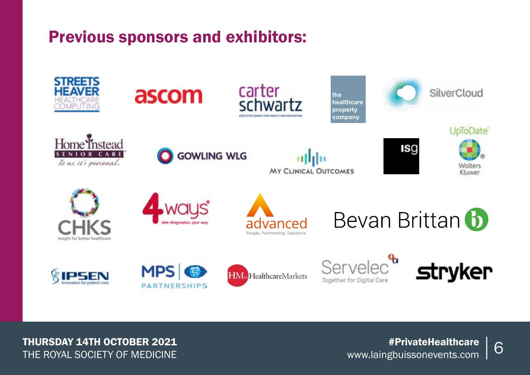## Previous sponsors and exhibitors:

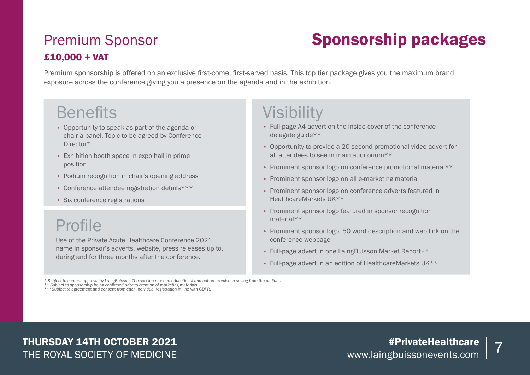## Premium Sponsor £10,000 + VAT

# Sponsorship packages

Premium sponsorship is offered on an exclusive first-come, first-served basis. This top tier package gives you the maximum brand exposure across the conference giving you a presence on the agenda and in the exhibition.

## **Benefits**

- Opportunity to speak as part of the agenda or chair a panel. Topic to be agreed by Conference Director\*
- Exhibition booth space in expo hall in prime position
- Podium recognition in chair's opening address
- Conference attendee registration details\*\*\*
- Six conference registrations

# Profile

Use of the Private Acute Healthcare Conference 2021 name in sponsor's adverts, website, press releases up to, during and for three months after the conference.

# **Visibility**

- Full-page A4 advert on the inside cover of the conference delegate guide\*\*
- Opportunity to provide a 20 second promotional video advert for all attendees to see in main auditorium\*\*
- Prominent sponsor logo on conference promotional material\*\*
- Prominent sponsor logo on all e-marketing material
- Prominent sponsor logo on conference adverts featured in HealthcareMarkets UK\*\*
- Prominent sponsor logo featured in sponsor recognition material\*\*
- Prominent sponsor logo, 50 word description and web link on the conference webpage
- Full-page advert in one LaingBuisson Market Report\*\*
- Full-page advert in an edition of HealthcareMarkets UK\*\*

\* Subject to content approval by LaingBuisson. The session must be educational and not an exercise in selling from the podium.<br>\* \* Subject to sponsorship being confirmed prior to creation of marketing materials.<br>\*\*\*Subject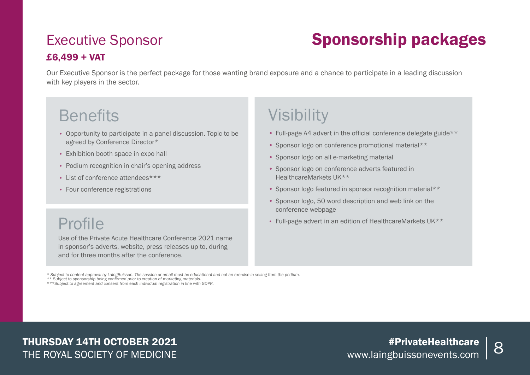### Executive Sponsor £6,499 + VAT

# Sponsorship packages

Our Executive Sponsor is the perfect package for those wanting brand exposure and a chance to participate in a leading discussion with key players in the sector.

## **Benefits**

- Opportunity to participate in a panel discussion. Topic to be agreed by Conference Director\*
- Exhibition booth space in expo hall
- Podium recognition in chair's opening address
- List of conference attendees\*\*\*
- Four conference registrations

## Profile

Use of the Private Acute Healthcare Conference 2021 name in sponsor's adverts, website, press releases up to, during and for three months after the conference.

# **Visibility**

- Full-page A4 advert in the official conference delegate guide\*\*
- Sponsor logo on conference promotional material\*\*
- Sponsor logo on all e-marketing material
- Sponsor logo on conference adverts featured in HealthcareMarkets UK\*\*
- Sponsor logo featured in sponsor recognition material\*\*
- Sponsor logo, 50 word description and web link on the conference webpage
- Full-page advert in an edition of HealthcareMarkets UK\*\*

\* Subject to content approval by LaingBuisson. The session or email must be educational and not an exercise in selling from the podium.

\*\* Subject to sponsorship being confirmed prior to creation of marketing materials. \*\*\*Subject to agreement and consent from each individual registration in line with GDPR.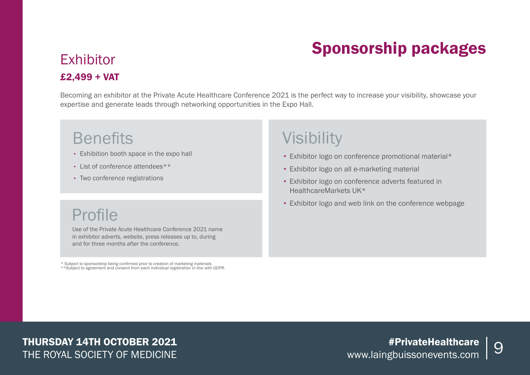# Sponsorship packages

### **Exhibitor** £2,499 + VAT

Becoming an exhibitor at the Private Acute Healthcare Conference 2021 is the perfect way to increase your visibility, showcase your expertise and generate leads through networking opportunities in the Expo Hall.

## **Benefits**

- Exhibition booth space in the expo hall
- List of conference attendees\*\*
- Two conference registrations

## Profile

Use of the Private Acute Healthcare Conference 2021 name in exhibitor adverts, website, press releases up to, during and for three months after the conference.

\* Subject to sponsorship being confirmed prior to creation of marketing materials. \*\*Subject to agreement and consent from each individual registration in line with GDPR.

## Visibility

- Exhibitor logo on conference promotional material\*
- Exhibitor logo on all e-marketing material
- Exhibitor logo on conference adverts featured in HealthcareMarkets UK\*
- Exhibitor logo and web link on the conference webpage